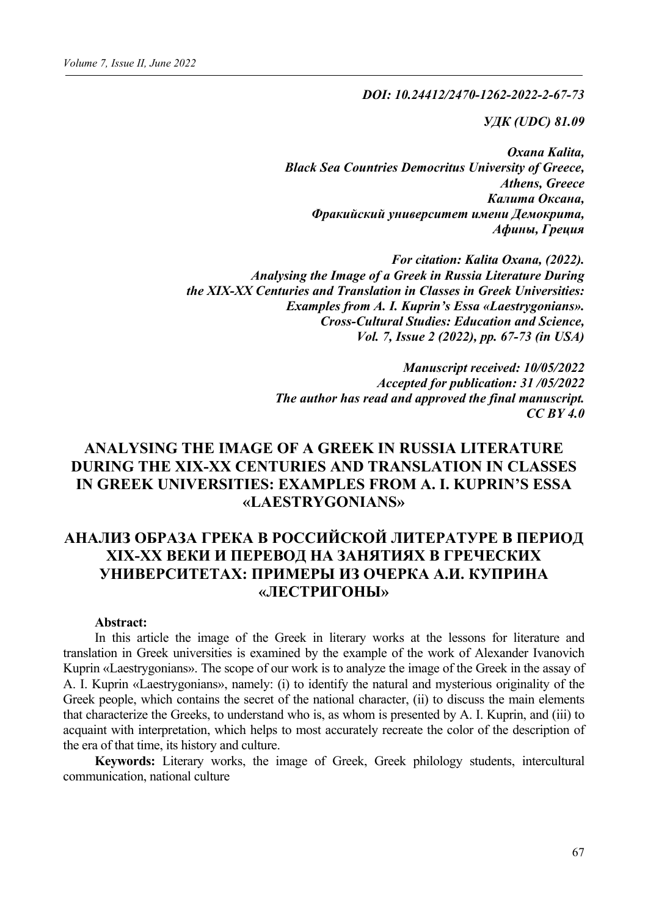*DOI: 10.24412/2470-1262-2022-2-67-73*

*УДК (UDC) 81.09*

*Oxana Kalita, Black Sea Countries Democritus University of Greece, Athens, Greece Калита Оксана, Фракийский университет имени Демокрита, Афины, Греция*

*For citation: Kalita Oxana, (2022). Analysing the Image of a Greek in Russia Literature During the XIX-XX Centuries and Translation in Classes in Greek Universities: Examples from A. I. Kuprin's Essa «Laestrygonians». Cross-Cultural Studies: Education and Science, Vol. 7, Issue 2 (2022), pp. 67-73 (in USA)*

> *Manuscript received: 10/05/2022 Accepted for publication: 31 /05/2022 The author has read and approved the final manuscript. CC BY 4.0*

# **ANALYSING THE IMAGE OF A GREEK IN RUSSIA LITERATURE DURING THE XIX-XX CENTURIES AND TRANSLATION IN CLASSES IN GREEK UNIVERSITIES: EXAMPLES FROM A. I. KUPRIN'S ESSA «LAESTRYGONIANS»**

# **АНАЛИЗ ОБРАЗА ГРЕКА В РОССИЙСКОЙ ЛИТЕРАТУРЕ В ПЕРИОД XIX-XX ВЕКИ И ПЕРЕВОД НА ЗАНЯТИЯХ В ГРЕЧЕСКИХ УНИВЕРСИТЕТАХ: ПРИМЕРЫ ИЗ ОЧЕРКА А.И. КУПРИНА «ЛЕСТРИГОНЫ»**

#### **Abstract:**

In this article the image of the Greek in literary works at the lessons for literature and translation in Greek universities is examined by the example of the work of Alexander Ivanovich Kuprin «Laestrygonians». The scope of our work is to analyze the image of the Greek in the assay of A. I. Kuprin «Laestrygonians», namely: (i) to identify the natural and mysterious originality of the Greek people, which contains the secret of the national character, (ii) to discuss the main elements that characterize the Greeks, to understand who is, as whom is presented by A. I. Kuprin, and (iii) to acquaint with interpretation, which helps to most accurately recreate the color of the description of the era of that time, its history and culture.

**Keywords:** Literary works, the image of Greek, Greek philology students, intercultural communication, national culture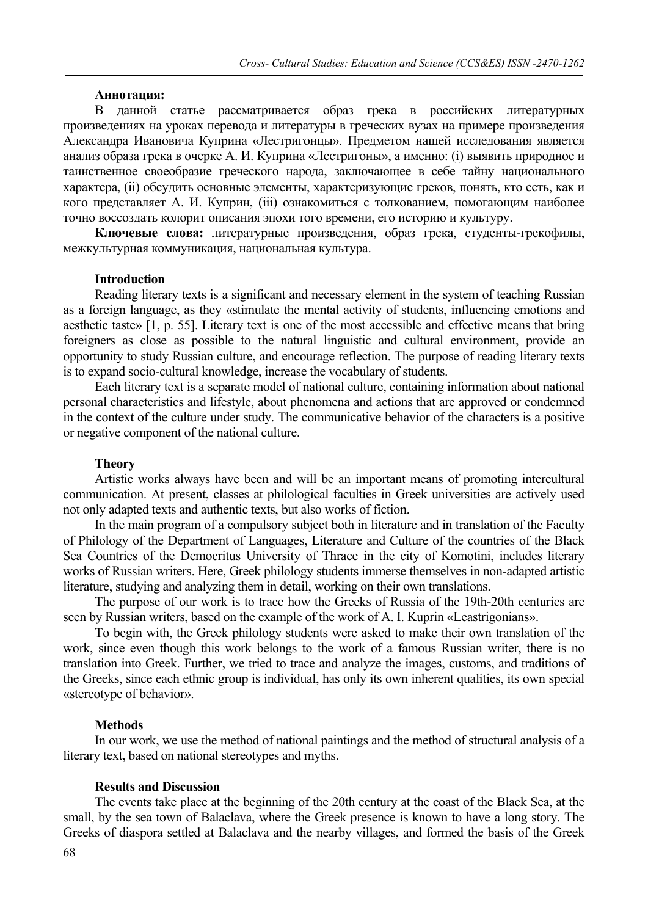#### **Аннотация:**

В данной статье рассматривается образ грека в российских литературных произведениях на уроках перевода и литературы в греческих вузах на примере произведения Александра Ивановича Куприна «Лестригонцы». Предметом нашей исследования является анализ образа грека в очерке А. И. Куприна «Лестригоны», а именно: (i) выявить природное и таинственное своеобразие греческого народа, заключающее в себе тайну национального характера, (ii) обсудить основные элементы, характеризующие греков, понять, кто есть, как и кого представляет А. И. Куприн, (iii) ознакомиться с толкованием, помогающим наиболее точно воссоздать колорит описания эпохи того времени, его историю и культуру.

**Ключевые слова:** литературные произведения, образ грека, студенты-грекофилы, межкультурная коммуникация, национальная культура.

#### **Introduction**

Reading literary texts is a significant and necessary element in the system of teaching Russian as a foreign language, as they «stimulate the mental activity of students, influencing emotions and aesthetic taste» [1, p. 55]. Literary text is one of the most accessible and effective means that bring foreigners as close as possible to the natural linguistic and cultural environment, provide an opportunity to study Russian culture, and encourage reflection. The purpose of reading literary texts is to expand socio-cultural knowledge, increase the vocabulary of students.

Each literary text is a separate model of national culture, containing information about national personal characteristics and lifestyle, about phenomena and actions that are approved or condemned in the context of the culture under study. The communicative behavior of the characters is a positive or negative component of the national culture.

#### **Theory**

Artistic works always have been and will be an important means of promoting intercultural communication. At present, classes at philological faculties in Greek universities are actively used not only adapted texts and authentic texts, but also works of fiction.

In the main program of a compulsory subject both in literature and in translation of the Faculty of Philology of the Department of Languages, Literature and Culture of the countries of the Black Sea Countries of the Democritus University of Thrace in the city of Komotini, includes literary works of Russian writers. Here, Greek philology students immerse themselves in non-adapted artistic literature, studying and analyzing them in detail, working on their own translations.

The purpose of our work is to trace how the Greeks of Russia of the 19th-20th centuries are seen by Russian writers, based on the example of the work of A. I. Kuprin «Leastrigonians».

To begin with, the Greek philology students were asked to make their own translation of the work, since even though this work belongs to the work of a famous Russian writer, there is no translation into Greek. Further, we tried to trace and analyze the images, customs, and traditions of the Greeks, since each ethnic group is individual, has only its own inherent qualities, its own special «stereotype of behavior».

#### **Methods**

In our work, we use the method of national paintings and the method of structural analysis of a literary text, based on national stereotypes and myths.

#### **Results and Discussion**

The events take place at the beginning of the 20th century at the coast of the Black Sea, at the small, by the sea town of Balaclava, where the Greek presence is known to have a long story. The Greeks of diaspora settled at Balaclava and the nearby villages, and formed the basis of the Greek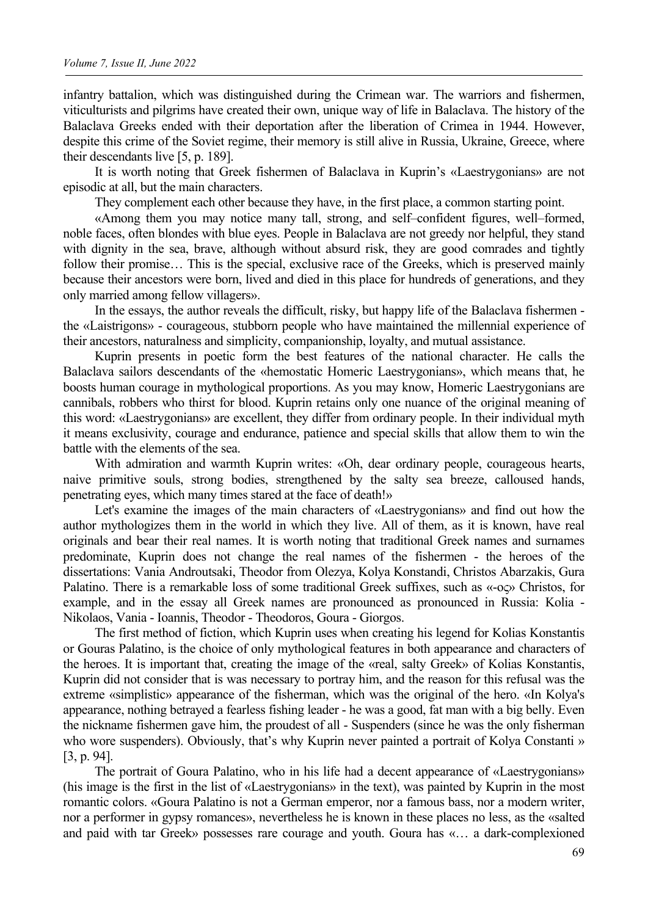infantry battalion, which was distinguished during the Crimean war. The warriors and fishermen, viticulturists and pilgrims have created their own, unique way of life in Balaclava. The history of the Balaclava Greeks ended with their deportation after the liberation of Crimea in 1944. However, despite this crime of the Soviet regime, their memory is still alive in Russia, Ukraine, Greece, where their descendants live [5, p. 189].

It is worth noting that Greek fishermen of Balaclava in Kuprin's «Laestrygonians» are not episodic at all, but the main characters.

They complement each other because they have, in the first place, a common starting point.

«Among them you may notice many tall, strong, and self–confident figures, well–formed, noble faces, often blondes with blue eyes. People in Balaclava are not greedy nor helpful, they stand with dignity in the sea, brave, although without absurd risk, they are good comrades and tightly follow their promise... This is the special, exclusive race of the Greeks, which is preserved mainly because their ancestors were born, lived and died in this place for hundreds of generations, and they only married among fellow villagers».

In the essays, the author reveals the difficult, risky, but happy life of the Balaclava fishermen the «Laistrigons» - courageous, stubborn people who have maintained the millennial experience of their ancestors, naturalness and simplicity, companionship, loyalty, and mutual assistance.

Kuprin presents in poetic form the best features of the national character. He calls the Balaclava sailors descendants of the «hemostatic Homeric Laestrygonians», which means that, he boosts human courage in mythological proportions. As you may know, Homeric Laestrygonians are cannibals, robbers who thirst for blood. Kuprin retains only one nuance of the original meaning of this word: «Laestrygonians» are excellent, they differ from ordinary people. In their individual myth it means exclusivity, courage and endurance, patience and special skills that allow them to win the battle with the elements of the sea.

With admiration and warmth Kuprin writes: «Oh, dear ordinary people, courageous hearts, naive primitive souls, strong bodies, strengthened by the salty sea breeze, calloused hands, penetrating eyes, which many times stared at the face of death!»

Let's examine the images of the main characters of «Laestrygonians» and find out how the author mythologizes them in the world in which they live. All of them, as it is known, have real originals and bear their real names. It is worth noting that traditional Greek names and surnames predominate, Kuprin does not change the real names of the fishermen - the heroes of the dissertations: Vania Androutsaki, Theodor from Olezya, Kolya Konstandi, Christos Abarzakis, Gura Palatino. There is a remarkable loss of some traditional Greek suffixes, such as «-ος» Christos, for example, and in the essay all Greek names are pronounced as pronounced in Russia: Kolia - Nikolaos, Vania - Ioannis, Theodor - Theodoros, Goura - Giorgos.

The first method of fiction, which Kuprin uses when creating his legend for Kolias Konstantis or Gouras Palatino, is the choice of only mythological features in both appearance and characters of the heroes. It is important that, creating the image of the «real, salty Greek» of Kolias Konstantis, Kuprin did not consider that is was necessary to portray him, and the reason for this refusal was the extreme «simplistic» appearance of the fisherman, which was the original of the hero. «In Kolya's appearance, nothing betrayed a fearless fishing leader - he was a good, fat man with a big belly. Even the nickname fishermen gave him, the proudest of all - Suspenders (since he was the only fisherman who wore suspenders). Obviously, that's why Kuprin never painted a portrait of Kolya Constanti » [3, p. 94].

The portrait of Goura Palatino, who in his life had a decent appearance of «Laestrygonians» (his image is the first in the list of «Laestrygonians» in the text), was painted by Kuprin in the most romantic colors. «Goura Palatino is not a German emperor, nor a famous bass, nor a modern writer, nor a performer in gypsy romances», nevertheless he is known in these places no less, as the «salted and paid with tar Greek» possesses rare courage and youth. Goura has «… a dark-complexioned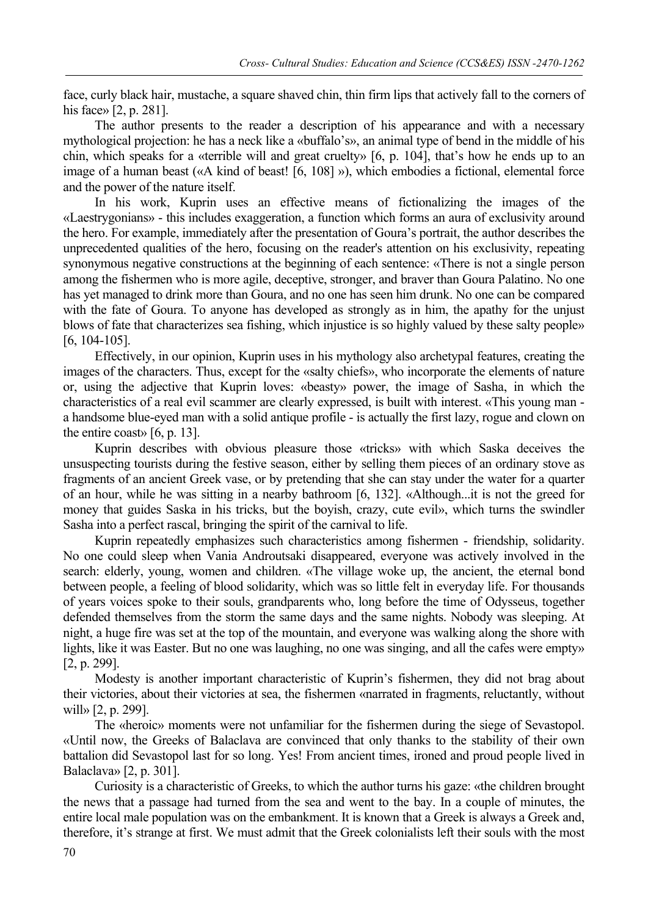face, curly black hair, mustache, a square shaved chin, thin firm lips that actively fall to the corners of his face» [2, p. 281].

The author presents to the reader a description of his appearance and with a necessary mythological projection: he has a neck like a «buffalo's», an animal type of bend in the middle of his chin, which speaks for a «terrible will and great cruelty» [6, p. 104], that's how he ends up to an image of a human beast («A kind of beast! [6, 108] »), which embodies a fictional, elemental force and the power of the nature itself.

In his work, Kuprin uses an effective means of fictionalizing the images of the «Laestrygonians» - this includes exaggeration, a function which forms an aura of exclusivity around the hero. For example, immediately after the presentation of Goura's portrait, the author describes the unprecedented qualities of the hero, focusing on the reader's attention on his exclusivity, repeating synonymous negative constructions at the beginning of each sentence: «There is not a single person among the fishermen who is more agile, deceptive, stronger, and braver than Goura Palatino. No one has yet managed to drink more than Goura, and no one has seen him drunk. No one can be compared with the fate of Goura. To anyone has developed as strongly as in him, the apathy for the unjust blows of fate that characterizes sea fishing, which injustice is so highly valued by these salty people» [6, 104-105].

Effectively, in our opinion, Kuprin uses in his mythology also archetypal features, creating the images of the characters. Thus, except for the «salty chiefs», who incorporate the elements of nature or, using the adjective that Kuprin loves: «beasty» power, the image of Sasha, in which the characteristics of a real evil scammer are clearly expressed, is built with interest. «This young man a handsome blue-eyed man with a solid antique profile - is actually the first lazy, rogue and clown on the entire coast» [6, p. 13].

Kuprin describes with obvious pleasure those «tricks» with which Saska deceives the unsuspecting tourists during the festive season, either by selling them pieces of an ordinary stove as fragments of an ancient Greek vase, or by pretending that she can stay under the water for a quarter of an hour, while he was sitting in a nearby bathroom [6, 132]. «Although...it is not the greed for money that guides Saska in his tricks, but the boyish, crazy, cute evil», which turns the swindler Sasha into a perfect rascal, bringing the spirit of the carnival to life.

Kuprin repeatedly emphasizes such characteristics among fishermen - friendship, solidarity. No one could sleep when Vania Androutsaki disappeared, everyone was actively involved in the search: elderly, young, women and children. «The village woke up, the ancient, the eternal bond between people, a feeling of blood solidarity, which was so little felt in everyday life. For thousands of years voices spoke to their souls, grandparents who, long before the time of Odysseus, together defended themselves from the storm the same days and the same nights. Nobody was sleeping. At night, a huge fire was set at the top of the mountain, and everyone was walking along the shore with lights, like it was Easter. But no one was laughing, no one was singing, and all the cafes were empty» [2, p. 299].

Modesty is another important characteristic of Kuprin's fishermen, they did not brag about their victories, about their victories at sea, the fishermen «narrated in fragments, reluctantly, without will» [2, p. 299].

The «heroic» moments were not unfamiliar for the fishermen during the siege of Sevastopol. «Until now, the Greeks of Balaclava are convinced that only thanks to the stability of their own battalion did Sevastopol last for so long. Yes! From ancient times, ironed and proud people lived in Balaclava» [2, p. 301].

Curiosity is a characteristic of Greeks, to which the author turns his gaze: «the children brought the news that a passage had turned from the sea and went to the bay. In a couple of minutes, the entire local male population was on the embankment. It is known that a Greek is always a Greek and, therefore, it's strange at first. We must admit that the Greek colonialists left their souls with the most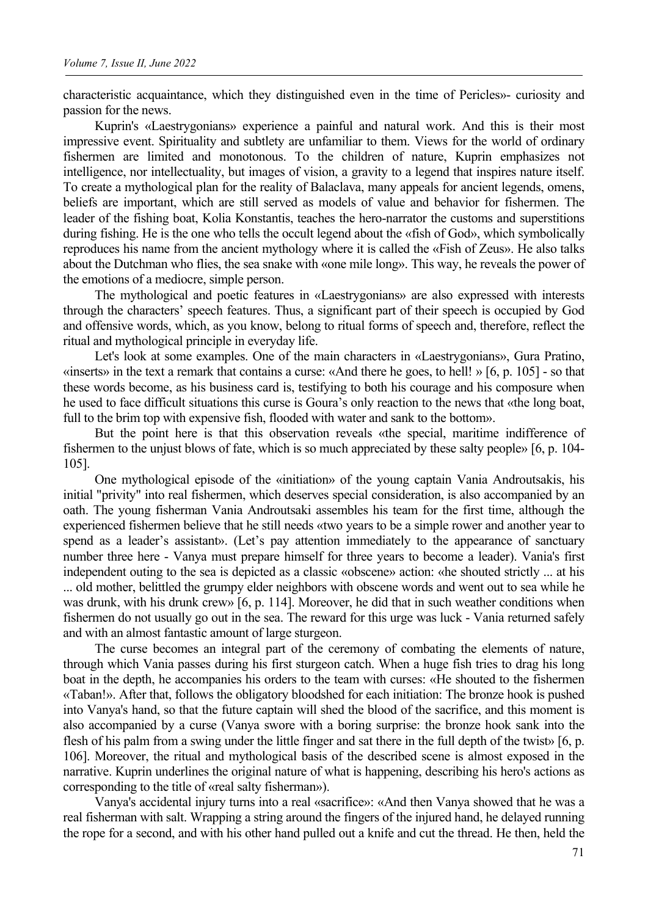characteristic acquaintance, which they distinguished even in the time of Pericles»- curiosity and passion for the news.

Kuprin's «Laestrygonians» experience a painful and natural work. And this is their most impressive event. Spirituality and subtlety are unfamiliar to them. Views for the world of ordinary fishermen are limited and monotonous. To the children of nature, Kuprin emphasizes not intelligence, nor intellectuality, but images of vision, a gravity to a legend that inspires nature itself. To create a mythological plan for the reality of Balaclava, many appeals for ancient legends, omens, beliefs are important, which are still served as models of value and behavior for fishermen. The leader of the fishing boat, Kolia Konstantis, teaches the hero-narrator the customs and superstitions during fishing. He is the one who tells the occult legend about the «fish of God», which symbolically reproduces his name from the ancient mythology where it is called the «Fish of Zeus». He also talks about the Dutchman who flies, the sea snake with «one mile long». This way, he reveals the power of the emotions of a mediocre, simple person.

The mythological and poetic features in «Laestrygonians» are also expressed with interests through the characters' speech features. Thus, a significant part of their speech is occupied by God and offensive words, which, as you know, belong to ritual forms of speech and, therefore, reflect the ritual and mythological principle in everyday life.

Let's look at some examples. One of the main characters in «Laestrygonians», Gura Pratino, «inserts» in the text a remark that contains a curse: «And there he goes, to hell! » [6, p. 105] - so that these words become, as his business card is, testifying to both his courage and his composure when he used to face difficult situations this curse is Goura's only reaction to the news that «the long boat, full to the brim top with expensive fish, flooded with water and sank to the bottom».

But the point here is that this observation reveals «the special, maritime indifference of fishermen to the unjust blows of fate, which is so much appreciated by these salty people» [6, p. 104- 105].

One mythological episode of the «initiation» of the young captain Vania Androutsakis, his initial "privity" into real fishermen, which deserves special consideration, is also accompanied by an oath. The young fisherman Vania Androutsaki assembles his team for the first time, although the experienced fishermen believe that he still needs «two years to be a simple rower and another year to spend as a leader's assistant». (Let's pay attention immediately to the appearance of sanctuary number three here - Vanya must prepare himself for three years to become a leader). Vania's first independent outing to the sea is depicted as a classic «obscene» action: «he shouted strictly ... at his ... old mother, belittled the grumpy elder neighbors with obscene words and went out to sea while he was drunk, with his drunk crew» [6, p. 114]. Moreover, he did that in such weather conditions when fishermen do not usually go out in the sea. The reward for this urge was luck - Vania returned safely and with an almost fantastic amount of large sturgeon.

The curse becomes an integral part of the ceremony of combating the elements of nature, through which Vania passes during his first sturgeon catch. When a huge fish tries to drag his long boat in the depth, he accompanies his orders to the team with curses: «He shouted to the fishermen «Taban!». After that, follows the obligatory bloodshed for each initiation: The bronze hook is pushed into Vanya's hand, so that the future captain will shed the blood of the sacrifice, and this moment is also accompanied by a curse (Vanya swore with a boring surprise: the bronze hook sank into the flesh of his palm from a swing under the little finger and sat there in the full depth of the twist» [6, p. 106]. Moreover, the ritual and mythological basis of the described scene is almost exposed in the narrative. Kuprin underlines the original nature of what is happening, describing his hero's actions as corresponding to the title of «real salty fisherman»).

Vanya's accidental injury turns into a real «sacrifice»: «And then Vanya showed that he was a real fisherman with salt. Wrapping a string around the fingers of the injured hand, he delayed running the rope for a second, and with his other hand pulled out a knife and cut the thread. He then, held the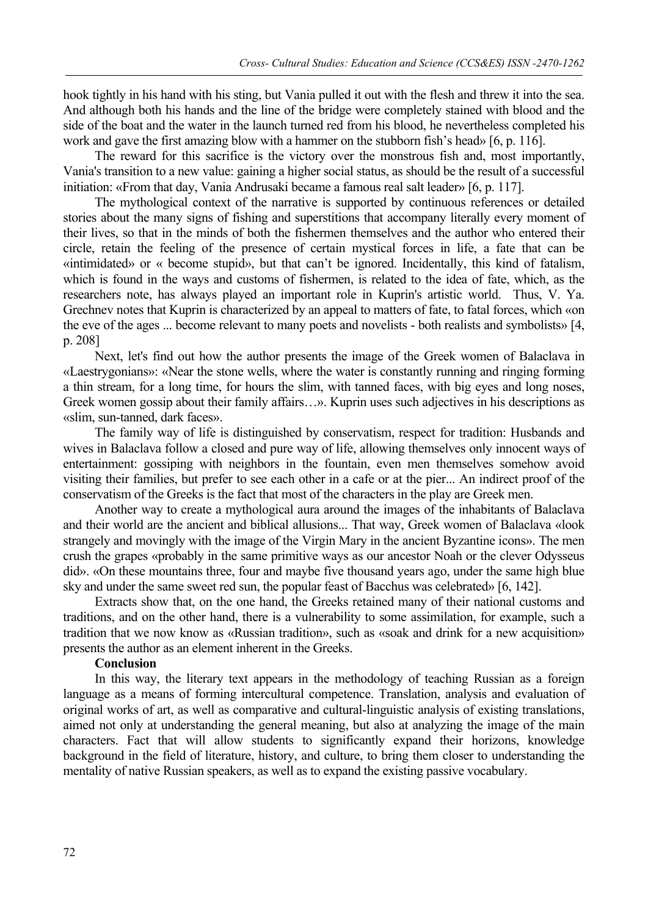hook tightly in his hand with his sting, but Vania pulled it out with the flesh and threw it into the sea. And although both his hands and the line of the bridge were completely stained with blood and the side of the boat and the water in the launch turned red from his blood, he nevertheless completed his work and gave the first amazing blow with a hammer on the stubborn fish's head» [6, p. 116].

The reward for this sacrifice is the victory over the monstrous fish and, most importantly, Vania's transition to a new value: gaining a higher social status, as should be the result of a successful initiation: «From that day, Vania Andrusaki became a famous real salt leader» [6, p. 117].

The mythological context of the narrative is supported by continuous references or detailed stories about the many signs of fishing and superstitions that accompany literally every moment of their lives, so that in the minds of both the fishermen themselves and the author who entered their circle, retain the feeling of the presence of certain mystical forces in life, a fate that can be «intimidated» or « become stupid», but that can't be ignored. Incidentally, this kind of fatalism, which is found in the ways and customs of fishermen, is related to the idea of fate, which, as the researchers note, has always played an important role in Kuprin's artistic world. Thus, V. Ya. Grechnev notes that Kuprin is characterized by an appeal to matters of fate, to fatal forces, which «on the eve of the ages ... become relevant to many poets and novelists - both realists and symbolists» [4, p. 208]

Next, let's find out how the author presents the image of the Greek women of Balaclava in «Laestrygonians»: «Near the stone wells, where the water is constantly running and ringing forming a thin stream, for a long time, for hours the slim, with tanned faces, with big eyes and long noses, Greek women gossip about their family affairs…». Kuprin uses such adjectives in his descriptions as «slim, sun-tanned, dark faces».

The family way of life is distinguished by conservatism, respect for tradition: Husbands and wives in Balaclava follow a closed and pure way of life, allowing themselves only innocent ways of entertainment: gossiping with neighbors in the fountain, even men themselves somehow avoid visiting their families, but prefer to see each other in a cafe or at the pier... An indirect proof of the conservatism of the Greeks is the fact that most of the characters in the play are Greek men.

Another way to create a mythological aura around the images of the inhabitants of Balaclava and their world are the ancient and biblical allusions... That way, Greek women of Balaclava «look strangely and movingly with the image of the Virgin Mary in the ancient Byzantine icons». The men crush the grapes «probably in the same primitive ways as our ancestor Noah or the clever Odysseus did». «On these mountains three, four and maybe five thousand years ago, under the same high blue sky and under the same sweet red sun, the popular feast of Bacchus was celebrated» [6, 142].

Extracts show that, on the one hand, the Greeks retained many of their national customs and traditions, and on the other hand, there is a vulnerability to some assimilation, for example, such a tradition that we now know as «Russian tradition», such as «soak and drink for a new acquisition» presents the author as an element inherent in the Greeks.

### **Conclusion**

In this way, the literary text appears in the methodology of teaching Russian as a foreign language as a means of forming intercultural competence. Translation, analysis and evaluation of original works of art, as well as comparative and cultural-linguistic analysis of existing translations, aimed not only at understanding the general meaning, but also at analyzing the image of the main characters. Fact that will allow students to significantly expand their horizons, knowledge background in the field of literature, history, and culture, to bring them closer to understanding the mentality of native Russian speakers, as well as to expand the existing passive vocabulary.